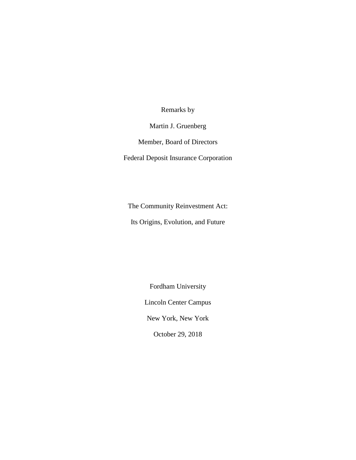Remarks by

Martin J. Gruenberg

Member, Board of Directors

Federal Deposit Insurance Corporation

The Community Reinvestment Act: Its Origins, Evolution, and Future

> Fordham University Lincoln Center Campus New York, New York October 29, 2018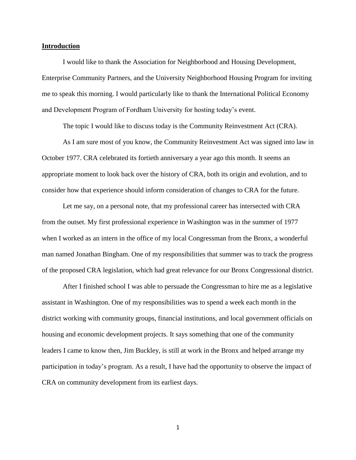## **Introduction**

I would like to thank the Association for Neighborhood and Housing Development, Enterprise Community Partners, and the University Neighborhood Housing Program for inviting me to speak this morning. I would particularly like to thank the International Political Economy and Development Program of Fordham University for hosting today's event.

The topic I would like to discuss today is the Community Reinvestment Act (CRA).

As I am sure most of you know, the Community Reinvestment Act was signed into law in October 1977. CRA celebrated its fortieth anniversary a year ago this month. It seems an appropriate moment to look back over the history of CRA, both its origin and evolution, and to consider how that experience should inform consideration of changes to CRA for the future.

Let me say, on a personal note, that my professional career has intersected with CRA from the outset. My first professional experience in Washington was in the summer of 1977 when I worked as an intern in the office of my local Congressman from the Bronx, a wonderful man named Jonathan Bingham. One of my responsibilities that summer was to track the progress of the proposed CRA legislation, which had great relevance for our Bronx Congressional district.

After I finished school I was able to persuade the Congressman to hire me as a legislative assistant in Washington. One of my responsibilities was to spend a week each month in the district working with community groups, financial institutions, and local government officials on housing and economic development projects. It says something that one of the community leaders I came to know then, Jim Buckley, is still at work in the Bronx and helped arrange my participation in today's program. As a result, I have had the opportunity to observe the impact of CRA on community development from its earliest days.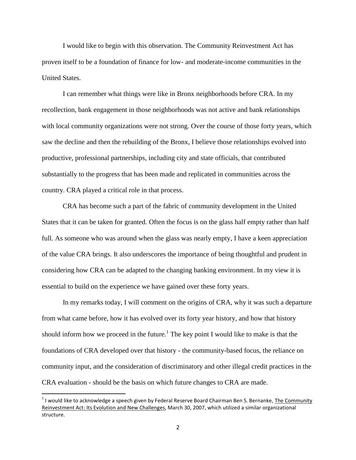I would like to begin with this observation. The Community Reinvestment Act has proven itself to be a foundation of finance for low- and moderate-income communities in the United States.

I can remember what things were like in Bronx neighborhoods before CRA. In my recollection, bank engagement in those neighborhoods was not active and bank relationships with local community organizations were not strong. Over the course of those forty years, which saw the decline and then the rebuilding of the Bronx, I believe those relationships evolved into productive, professional partnerships, including city and state officials, that contributed substantially to the progress that has been made and replicated in communities across the country. CRA played a critical role in that process.

CRA has become such a part of the fabric of community development in the United States that it can be taken for granted. Often the focus is on the glass half empty rather than half full. As someone who was around when the glass was nearly empty, I have a keen appreciation of the value CRA brings. It also underscores the importance of being thoughtful and prudent in considering how CRA can be adapted to the changing banking environment. In my view it is essential to build on the experience we have gained over these forty years.

In my remarks today, I will comment on the origins of CRA, why it was such a departure from what came before, how it has evolved over its forty year history, and how that history should inform how we proceed in the future.<sup>1</sup> The key point I would like to make is that the foundations of CRA developed over that history - the community-based focus, the reliance on community input, and the consideration of discriminatory and other illegal credit practices in the CRA evaluation - should be the basis on which future changes to CRA are made.

 $^1$  I would like to acknowledge a speech given by Federal Reserve Board Chairman Ben S. Bernanke, The Community Reinvestment Act: Its Evolution and New Challenges, March 30, 2007, which utilized a similar organizational structure.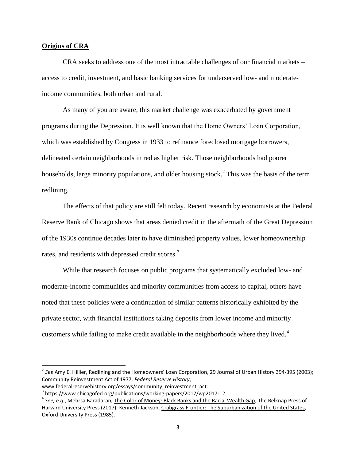## **Origins of CRA**

 $\overline{\phantom{a}}$ 

CRA seeks to address one of the most intractable challenges of our financial markets – access to credit, investment, and basic banking services for underserved low- and moderateincome communities, both urban and rural.

As many of you are aware, this market challenge was exacerbated by government programs during the Depression. It is well known that the Home Owners' Loan Corporation, which was established by Congress in 1933 to refinance foreclosed mortgage borrowers, delineated certain neighborhoods in red as higher risk. Those neighborhoods had poorer households, large minority populations, and older housing stock.<sup>2</sup> This was the basis of the term redlining.

The effects of that policy are still felt today. Recent research by economists at the Federal Reserve Bank of Chicago shows that areas denied credit in the aftermath of the Great Depression of the 1930s continue decades later to have diminished property values, lower homeownership rates, and residents with depressed credit scores.<sup>3</sup>

While that research focuses on public programs that systematically excluded low- and moderate-income communities and minority communities from access to capital, others have noted that these policies were a continuation of similar patterns historically exhibited by the private sector, with financial institutions taking deposits from lower income and minority customers while failing to make credit available in the neighborhoods where they lived.<sup>4</sup>

<sup>2</sup> *See* Amy E. Hillier, Redlining and the Homeowners' Loan Corporation, 29 Journal of Urban History 394-395 (2003); Community Reinvestment Act of 1977, *Federal Reserve History*, www.federalreservehistory.org/essays/community\_reinvestment\_act.

<sup>3</sup> https://www.chicagofed.org/publications/working-papers/2017/wp2017-12

<sup>4</sup> *See, e.g.*, Mehrsa Baradaran, The Color of Money: Black Banks and the Racial Wealth Gap, The Belknap Press of Harvard University Press (2017); Kenneth Jackson, Crabgrass Frontier: The Suburbanization of the United States, Oxford University Press (1985).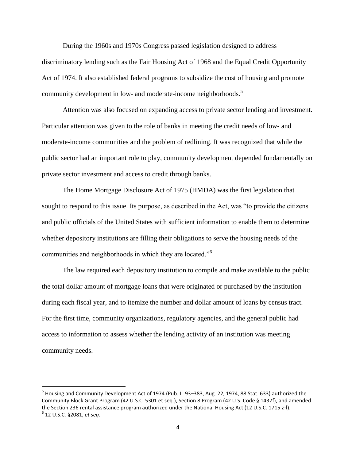During the 1960s and 1970s Congress passed legislation designed to address discriminatory lending such as the Fair Housing Act of 1968 and the Equal Credit Opportunity Act of 1974. It also established federal programs to subsidize the cost of housing and promote community development in low- and moderate-income neighborhoods.<sup>5</sup>

Attention was also focused on expanding access to private sector lending and investment. Particular attention was given to the role of banks in meeting the credit needs of low- and moderate-income communities and the problem of redlining. It was recognized that while the public sector had an important role to play, community development depended fundamentally on private sector investment and access to credit through banks.

The Home Mortgage Disclosure Act of 1975 (HMDA) was the first legislation that sought to respond to this issue. Its purpose, as described in the Act, was "to provide the citizens and public officials of the United States with sufficient information to enable them to determine whether depository institutions are filling their obligations to serve the housing needs of the communities and neighborhoods in which they are located."<sup>6</sup>

The law required each depository institution to compile and make available to the public the total dollar amount of mortgage loans that were originated or purchased by the institution during each fiscal year, and to itemize the number and dollar amount of loans by census tract. For the first time, community organizations, regulatory agencies, and the general public had access to information to assess whether the lending activity of an institution was meeting community needs.

<sup>&</sup>lt;sup>5</sup> Housing and Community Development Act of 1974 (Pub. L. 93–383, Aug. 22, 1974, 88 Stat. 633) authorized the Community Block Grant Program (42 U.S.C. 5301 et seq.), Section 8 Program (42 U.S. Code § 1437f), and amended the Section 236 rental assistance program authorized under the National Housing Act (12 U.S.C. 1715 z-l). 6 12 U.S.C. §2081, *et seq.*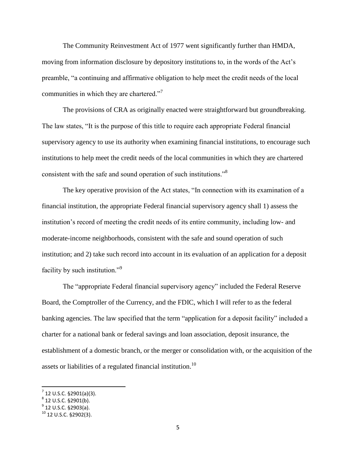The Community Reinvestment Act of 1977 went significantly further than HMDA, moving from information disclosure by depository institutions to, in the words of the Act's preamble, "a continuing and affirmative obligation to help meet the credit needs of the local communities in which they are chartered."<sup>7</sup>

The provisions of CRA as originally enacted were straightforward but groundbreaking. The law states, "It is the purpose of this title to require each appropriate Federal financial supervisory agency to use its authority when examining financial institutions, to encourage such institutions to help meet the credit needs of the local communities in which they are chartered consistent with the safe and sound operation of such institutions."<sup>8</sup>

The key operative provision of the Act states, "In connection with its examination of a financial institution, the appropriate Federal financial supervisory agency shall 1) assess the institution's record of meeting the credit needs of its entire community, including low- and moderate-income neighborhoods, consistent with the safe and sound operation of such institution; and 2) take such record into account in its evaluation of an application for a deposit facility by such institution."<sup>9</sup>

The "appropriate Federal financial supervisory agency" included the Federal Reserve Board, the Comptroller of the Currency, and the FDIC, which I will refer to as the federal banking agencies. The law specified that the term "application for a deposit facility" included a charter for a national bank or federal savings and loan association, deposit insurance, the establishment of a domestic branch, or the merger or consolidation with, or the acquisition of the assets or liabilities of a regulated financial institution.<sup>10</sup>

 $7$  12 U.S.C. §2901(a)(3).

 $^8$  12 U.S.C. §2901(b).

 $^9$  12 U.S.C. §2903(a).

 $10$  12 U.S.C. §2902(3).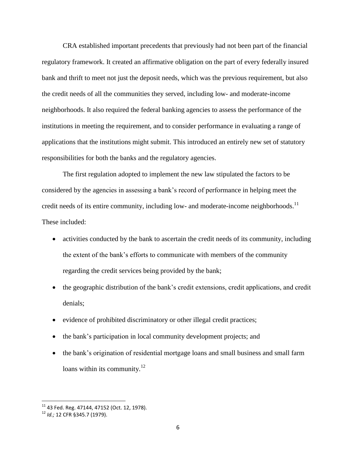CRA established important precedents that previously had not been part of the financial regulatory framework. It created an affirmative obligation on the part of every federally insured bank and thrift to meet not just the deposit needs, which was the previous requirement, but also the credit needs of all the communities they served, including low- and moderate-income neighborhoods. It also required the federal banking agencies to assess the performance of the institutions in meeting the requirement, and to consider performance in evaluating a range of applications that the institutions might submit. This introduced an entirely new set of statutory responsibilities for both the banks and the regulatory agencies.

The first regulation adopted to implement the new law stipulated the factors to be considered by the agencies in assessing a bank's record of performance in helping meet the credit needs of its entire community, including low- and moderate-income neighborhoods.<sup>11</sup> These included:

- activities conducted by the bank to ascertain the credit needs of its community, including the extent of the bank's efforts to communicate with members of the community regarding the credit services being provided by the bank;
- the geographic distribution of the bank's credit extensions, credit applications, and credit denials;
- evidence of prohibited discriminatory or other illegal credit practices;
- the bank's participation in local community development projects; and
- the bank's origination of residential mortgage loans and small business and small farm loans within its community. $12$

l

 $^{11}$  43 Fed. Reg. 47144, 47152 (Oct. 12, 1978).

<sup>12</sup> *Id.;* 12 CFR §345.7 (1979).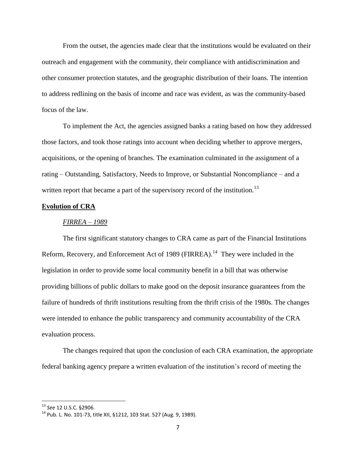From the outset, the agencies made clear that the institutions would be evaluated on their outreach and engagement with the community, their compliance with antidiscrimination and other consumer protection statutes, and the geographic distribution of their loans. The intention to address redlining on the basis of income and race was evident, as was the community-based focus of the law.

To implement the Act, the agencies assigned banks a rating based on how they addressed those factors, and took those ratings into account when deciding whether to approve mergers, acquisitions, or the opening of branches. The examination culminated in the assignment of a rating – Outstanding, Satisfactory, Needs to Improve, or Substantial Noncompliance – and a written report that became a part of the supervisory record of the institution.<sup>13</sup>

## **Evolution of CRA**

#### *FIRREA – 1989*

The first significant statutory changes to CRA came as part of the Financial Institutions Reform, Recovery, and Enforcement Act of 1989 (FIRREA).<sup>14</sup> They were included in the legislation in order to provide some local community benefit in a bill that was otherwise providing billions of public dollars to make good on the deposit insurance guarantees from the failure of hundreds of thrift institutions resulting from the thrift crisis of the 1980s. The changes were intended to enhance the public transparency and community accountability of the CRA evaluation process.

The changes required that upon the conclusion of each CRA examination, the appropriate federal banking agency prepare a written evaluation of the institution's record of meeting the

l

<sup>13</sup> *See* 12 U.S.C. §2906.

<sup>14</sup> Pub. L. No. 101-73, title XII, §1212, 103 Stat. 527 (Aug. 9, 1989).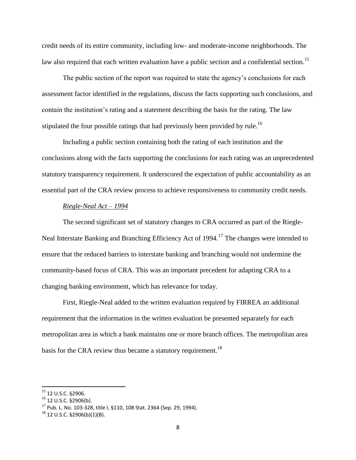credit needs of its entire community, including low- and moderate-income neighborhoods. The law also required that each written evaluation have a public section and a confidential section.<sup>15</sup>

The public section of the report was required to state the agency's conclusions for each assessment factor identified in the regulations, discuss the facts supporting such conclusions, and contain the institution's rating and a statement describing the basis for the rating. The law stipulated the four possible ratings that had previously been provided by rule.<sup>16</sup>

Including a public section containing both the rating of each institution and the conclusions along with the facts supporting the conclusions for each rating was an unprecedented statutory transparency requirement. It underscored the expectation of public accountability as an essential part of the CRA review process to achieve responsiveness to community credit needs.

## *Riegle-Neal Act – 1994*

The second significant set of statutory changes to CRA occurred as part of the Riegle-Neal Interstate Banking and Branching Efficiency Act of 1994.<sup>17</sup> The changes were intended to ensure that the reduced barriers to interstate banking and branching would not undermine the community-based focus of CRA. This was an important precedent for adapting CRA to a changing banking environment, which has relevance for today.

First, Riegle-Neal added to the written evaluation required by FIRREA an additional requirement that the information in the written evaluation be presented separately for each metropolitan area in which a bank maintains one or more branch offices. The metropolitan area basis for the CRA review thus became a statutory requirement.<sup>18</sup>

<sup>15</sup> 12 U.S.C. §2906.

<sup>16</sup> 12 U.S.C. §2906(b).

 $17$  Pub. L. No. 103-328, title I, §110, 108 Stat. 2364 (Sep. 29, 1994).

 $18$  12 U.S.C. §2906(b)(1)(B).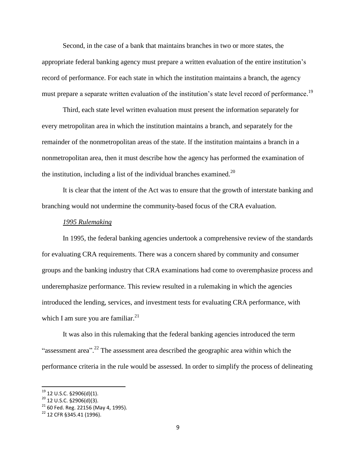Second, in the case of a bank that maintains branches in two or more states, the appropriate federal banking agency must prepare a written evaluation of the entire institution's record of performance. For each state in which the institution maintains a branch, the agency must prepare a separate written evaluation of the institution's state level record of performance.<sup>19</sup>

Third, each state level written evaluation must present the information separately for every metropolitan area in which the institution maintains a branch, and separately for the remainder of the nonmetropolitan areas of the state. If the institution maintains a branch in a nonmetropolitan area, then it must describe how the agency has performed the examination of the institution, including a list of the individual branches examined.<sup>20</sup>

It is clear that the intent of the Act was to ensure that the growth of interstate banking and branching would not undermine the community-based focus of the CRA evaluation.

#### *1995 Rulemaking*

In 1995, the federal banking agencies undertook a comprehensive review of the standards for evaluating CRA requirements. There was a concern shared by community and consumer groups and the banking industry that CRA examinations had come to overemphasize process and underemphasize performance. This review resulted in a rulemaking in which the agencies introduced the lending, services, and investment tests for evaluating CRA performance, with which I am sure you are familiar. $^{21}$ 

It was also in this rulemaking that the federal banking agencies introduced the term "assessment area".<sup>22</sup> The assessment area described the geographic area within which the performance criteria in the rule would be assessed. In order to simplify the process of delineating

 $^{19}$  12 U.S.C. §2906(d)(1).

 $^{20}$  12 U.S.C. §2906(d)(3).

 $21$  60 Fed. Reg. 22156 (May 4, 1995).

<sup>22</sup> 12 CFR §345.41 (1996).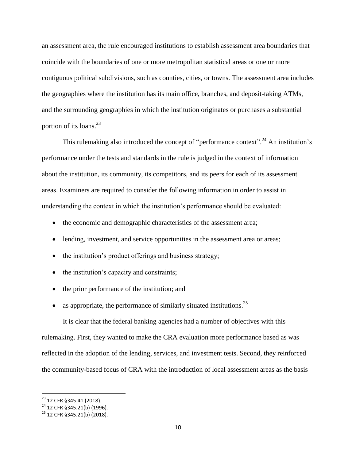an assessment area, the rule encouraged institutions to establish assessment area boundaries that coincide with the boundaries of one or more metropolitan statistical areas or one or more contiguous political subdivisions, such as counties, cities, or towns. The assessment area includes the geographies where the institution has its main office, branches, and deposit-taking ATMs, and the surrounding geographies in which the institution originates or purchases a substantial portion of its loans. $^{23}$ 

This rulemaking also introduced the concept of "performance context".<sup>24</sup> An institution's performance under the tests and standards in the rule is judged in the context of information about the institution, its community, its competitors, and its peers for each of its assessment areas. Examiners are required to consider the following information in order to assist in understanding the context in which the institution's performance should be evaluated:

- the economic and demographic characteristics of the assessment area;
- lending, investment, and service opportunities in the assessment area or areas;
- the institution's product offerings and business strategy;
- the institution's capacity and constraints;
- the prior performance of the institution; and
- as appropriate, the performance of similarly situated institutions.<sup>25</sup>

It is clear that the federal banking agencies had a number of objectives with this rulemaking. First, they wanted to make the CRA evaluation more performance based as was reflected in the adoption of the lending, services, and investment tests. Second, they reinforced the community-based focus of CRA with the introduction of local assessment areas as the basis

<sup>&</sup>lt;sup>23</sup> 12 CFR §345.41 (2018).

<sup>&</sup>lt;sup>24</sup> 12 CFR §345.21(b) (1996).

<sup>25</sup> 12 CFR §345.21(b) (2018).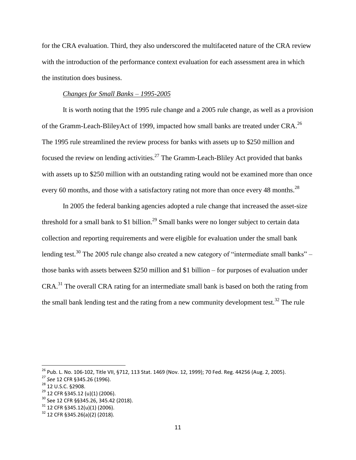for the CRA evaluation. Third, they also underscored the multifaceted nature of the CRA review with the introduction of the performance context evaluation for each assessment area in which the institution does business.

# *Changes for Small Banks – 1995-2005*

It is worth noting that the 1995 rule change and a 2005 rule change, as well as a provision of the Gramm-Leach-BlileyAct of 1999, impacted how small banks are treated under CRA.<sup>26</sup> The 1995 rule streamlined the review process for banks with assets up to \$250 million and focused the review on lending activities.<sup>27</sup> The Gramm-Leach-Bliley Act provided that banks with assets up to \$250 million with an outstanding rating would not be examined more than once every 60 months, and those with a satisfactory rating not more than once every 48 months.<sup>28</sup>

In 2005 the federal banking agencies adopted a rule change that increased the asset-size threshold for a small bank to \$1 billion.<sup>29</sup> Small banks were no longer subject to certain data collection and reporting requirements and were eligible for evaluation under the small bank lending test.<sup>30</sup> The 2005 rule change also created a new category of "intermediate small banks" – those banks with assets between \$250 million and \$1 billion – for purposes of evaluation under CRA.<sup>31</sup> The overall CRA rating for an intermediate small bank is based on both the rating from the small bank lending test and the rating from a new community development test.<sup>32</sup> The rule

<sup>&</sup>lt;sup>26</sup> Pub. L. No. 106-102, Title VII, §712, 113 Stat. 1469 (Nov. 12, 1999); 70 Fed. Reg. 44256 (Aug. 2, 2005).

<sup>27</sup> *See* 12 CFR §345.26 (1996).

<sup>&</sup>lt;sup>28</sup> 12 U.S.C. §2908.

<sup>29</sup> 12 CFR §345.12 (u)(1) (2006).

<sup>30</sup> See 12 CFR §§345.26, 345.42 (2018).

 $31$  12 CFR §345.12(u)(1) (2006).

 $32$  12 CFR §345.26(a)(2) (2018).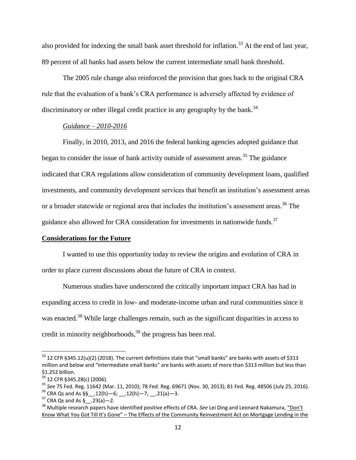also provided for indexing the small bank asset threshold for inflation.<sup>33</sup> At the end of last year, 89 percent of all banks had assets below the current intermediate small bank threshold.

The 2005 rule change also reinforced the provision that goes back to the original CRA rule that the evaluation of a bank's CRA performance is adversely affected by evidence of discriminatory or other illegal credit practice in any geography by the bank.<sup>34</sup>

## *Guidance – 2010-2016*

Finally, in 2010, 2013, and 2016 the federal banking agencies adopted guidance that began to consider the issue of bank activity outside of assessment areas.<sup>35</sup> The guidance indicated that CRA regulations allow consideration of community development loans, qualified investments, and community development services that benefit an institution's assessment areas or a broader statewide or regional area that includes the institution's assessment areas. <sup>36</sup> The guidance also allowed for CRA consideration for investments in nationwide funds.<sup>37</sup>

#### **Considerations for the Future**

I wanted to use this opportunity today to review the origins and evolution of CRA in order to place current discussions about the future of CRA in context.

Numerous studies have underscored the critically important impact CRA has had in expanding access to credit in low- and moderate-income urban and rural communities since it was enacted.<sup>38</sup> While large challenges remain, such as the significant disparities in access to credit in minority neighborhoods,<sup>39</sup> the progress has been real.

 $33$  12 CFR §345.12(u)(2) (2018). The current definitions state that "small banks" are banks with assets of \$313 million and below and "intermediate small banks" are banks with assets of more than \$313 million but less than \$1.252 billion.

<sup>34</sup> 12 CFR §345.28(c) (2006).

<sup>35</sup> *See* 75 Fed. Reg. 11642 (Mar. 11, 2010); 78 Fed. Reg. 69671 (Nov. 30, 2013); 81 Fed. Reg. 48506 (July 25, 2016).

 $36$  CRA Qs and As  $\S$ § \_\_\_.12(h) - 6; \_\_\_.12(h) - 7, \_\_\_.21(a) - 3.

 $37$  CRA Qs and As  $\frac{6}{3}$  \_ .23(a) - 2.

<sup>38</sup> Multiple research papers have identified positive effects of CRA. *See* Lei Ding and Leonard Nakamura, "Don't Know What You Got Till It's Gone" – The Effects of the Community Reinvestment Act on Mortgage Lending in the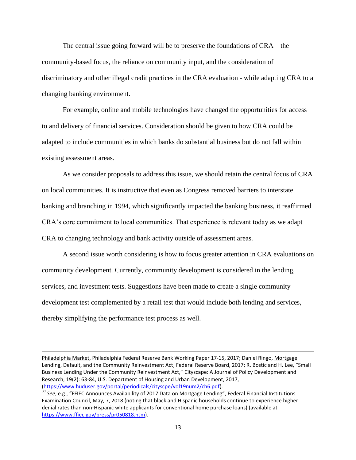The central issue going forward will be to preserve the foundations of CRA – the community-based focus, the reliance on community input, and the consideration of discriminatory and other illegal credit practices in the CRA evaluation - while adapting CRA to a changing banking environment.

For example, online and mobile technologies have changed the opportunities for access to and delivery of financial services. Consideration should be given to how CRA could be adapted to include communities in which banks do substantial business but do not fall within existing assessment areas.

As we consider proposals to address this issue, we should retain the central focus of CRA on local communities. It is instructive that even as Congress removed barriers to interstate banking and branching in 1994, which significantly impacted the banking business, it reaffirmed CRA's core commitment to local communities. That experience is relevant today as we adapt CRA to changing technology and bank activity outside of assessment areas.

A second issue worth considering is how to focus greater attention in CRA evaluations on community development. Currently, community development is considered in the lending, services, and investment tests. Suggestions have been made to create a single community development test complemented by a retail test that would include both lending and services, thereby simplifying the performance test process as well.

Philadelphia Market, Philadelphia Federal Reserve Bank Working Paper 17-15, 2017; Daniel Ringo, Mortgage Lending, Default, and the Community Reinvestment Act, Federal Reserve Board, 2017; R. Bostic and H. Lee, "Small Business Lending Under the Community Reinvestment Act," Cityscape: A Journal of Policy Development and Research, 19(2): 63-84, U.S. Department of Housing and Urban Development, 2017, [\(https://www.huduser.gov/portal/periodicals/cityscpe/vol19num2/ch6.pdf\)](https://www.huduser.gov/portal/periodicals/cityscpe/vol19num2/ch6.pdf).

<sup>39</sup> *See*, e.g., "FFIEC Announces Availability of 2017 Data on Mortgage Lending", Federal Financial Institutions Examination Council, May, 7, 2018 (noting that black and Hispanic households continue to experience higher denial rates than non-Hispanic white applicants for conventional home purchase loans) (available at [https://www.ffiec.gov/press/pr050818.htm\)](https://www.ffiec.gov/press/pr050818.htm).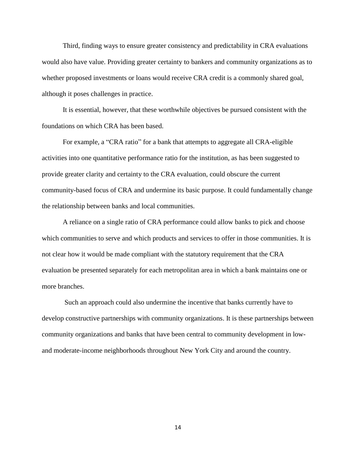Third, finding ways to ensure greater consistency and predictability in CRA evaluations would also have value. Providing greater certainty to bankers and community organizations as to whether proposed investments or loans would receive CRA credit is a commonly shared goal, although it poses challenges in practice.

It is essential, however, that these worthwhile objectives be pursued consistent with the foundations on which CRA has been based.

For example, a "CRA ratio" for a bank that attempts to aggregate all CRA-eligible activities into one quantitative performance ratio for the institution, as has been suggested to provide greater clarity and certainty to the CRA evaluation, could obscure the current community-based focus of CRA and undermine its basic purpose. It could fundamentally change the relationship between banks and local communities.

A reliance on a single ratio of CRA performance could allow banks to pick and choose which communities to serve and which products and services to offer in those communities. It is not clear how it would be made compliant with the statutory requirement that the CRA evaluation be presented separately for each metropolitan area in which a bank maintains one or more branches.

Such an approach could also undermine the incentive that banks currently have to develop constructive partnerships with community organizations. It is these partnerships between community organizations and banks that have been central to community development in lowand moderate-income neighborhoods throughout New York City and around the country.

14